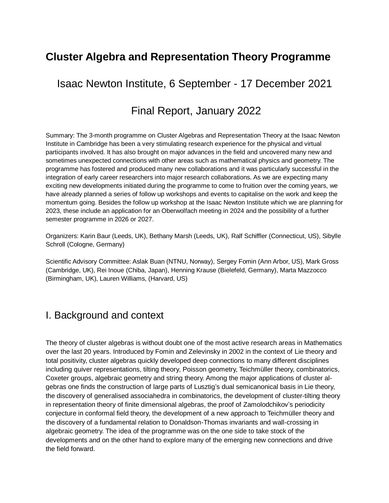# **Cluster Algebra and Representation Theory Programme**

Isaac Newton Institute, 6 September - 17 December 2021

## Final Report, January 2022

Summary: The 3-month programme on Cluster Algebras and Representation Theory at the Isaac Newton Institute in Cambridge has been a very stimulating research experience for the physical and virtual participants involved. It has also brought on major advances in the field and uncovered many new and sometimes unexpected connections with other areas such as mathematical physics and geometry. The programme has fostered and produced many new collaborations and it was particularly successful in the integration of early career researchers into major research collaborations. As we are expecting many exciting new developments initiated during the programme to come to fruition over the coming years, we have already planned a series of follow up workshops and events to capitalise on the work and keep the momentum going. Besides the follow up workshop at the Isaac Newton Institute which we are planning for 2023, these include an application for an Oberwolfach meeting in 2024 and the possibility of a further semester programme in 2026 or 2027.

Organizers: Karin Baur (Leeds, UK), Bethany Marsh (Leeds, UK), Ralf Schiffler (Connecticut, US), Sibylle Schroll (Cologne, Germany)

Scientific Advisory Committee: Aslak Buan (NTNU, Norway), Sergey Fomin (Ann Arbor, US), Mark Gross (Cambridge, UK), Rei Inoue (Chiba, Japan), Henning Krause (Bielefeld, Germany), Marta Mazzocco (Birmingham, UK), Lauren Williams, (Harvard, US)

## I. Background and context

The theory of cluster algebras is without doubt one of the most active research areas in Mathematics over the last 20 years. Introduced by Fomin and Zelevinsky in 2002 in the context of Lie theory and total positivity, cluster algebras quickly developed deep connections to many different disciplines including quiver representations, tilting theory, Poisson geometry, Teichmüller theory, combinatorics, Coxeter groups, algebraic geometry and string theory. Among the major applications of cluster algebras one finds the construction of large parts of Lusztig's dual semicanonical basis in Lie theory, the discovery of generalised associahedra in combinatorics, the development of cluster-tilting theory in representation theory of finite dimensional algebras, the proof of Zamolodchikov's periodicity conjecture in conformal field theory, the development of a new approach to Teichmüller theory and the discovery of a fundamental relation to Donaldson-Thomas invariants and wall-crossing in algebraic geometry. The idea of the programme was on the one side to take stock of the developments and on the other hand to explore many of the emerging new connections and drive the field forward.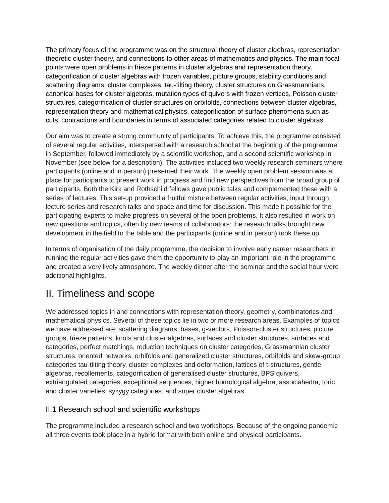The primary focus of the programme was on the structural theory of cluster algebras, representation theoretic cluster theory, and connections to other areas of mathematics and physics. The main focal points were open problems in frieze patterns in cluster algebras and representation theory, categorification of cluster algebras with frozen variables, picture groups, stability conditions and scattering diagrams, cluster complexes, tau-tilting theory, cluster structures on Grassmannians, canonical bases for cluster algebras, mutation types of quivers with frozen vertices, Poisson cluster structures, categorification of cluster structures on orbifolds, connections between cluster algebras, representation theory and mathematical physics, categorification of surface phenomena such as cuts, contractions and boundaries in terms of associated categories related to cluster algebras.

Our aim was to create a strong community of participants. To achieve this, the programme consisted of several regular activities, interspersed with a research school at the beginning of the programme, in September, followed immediately by a scientific workshop, and a second scientific workshop in November (see below for a description). The activities included two weekly research seminars where participants (online and in person) presented their work. The weekly open problem session was a place for participants to present work in progress and find new perspectives from the broad group of participants. Both the Kirk and Rothschild fellows gave public talks and complemented these with a series of lectures. This set-up provided a fruitful mixture between regular activities, input through lecture series and research talks and space and time for discussion. This made it possible for the participating experts to make progress on several of the open problems. It also resulted in work on new questions and topics, often by new teams of collaborators: the research talks brought new development in the field to the table and the participants (online and in person) took these up.

In terms of organisation of the daily programme, the decision to involve early career researchers in running the regular activities gave them the opportunity to play an important role in the programme and created a very lively atmosphere. The weekly dinner after the seminar and the social hour were additional highlights.

# II. Timeliness and scope

We addressed topics in and connections with representation theory, geometry, combinatorics and mathematical physics. Several of these topics lie in two or more research areas. Examples of topics we have addressed are: scattering diagrams, bases, g-vectors, Poisson-cluster structures, picture groups, frieze patterns, knots and cluster algebras, surfaces and cluster structures, surfaces and categories, perfect matchings, reduction techniques on cluster categories, Grassmannian cluster structures, oriented networks, orbifolds and generalized cluster structures, orbifolds and skew-group categories tau-tilting theory, cluster complexes and deformation, lattices of t-structures, gentle algebras, recollements, categorification of generalised cluster structures, BPS quivers, extriangulated categories, exceptional sequences, higher homological algebra, associahedra, toric and cluster varieties, syzygy categories, and super cluster algebras.

### II.1 Research school and scientific workshops

The programme included a research school and two workshops. Because of the ongoing pandemic all three events took place in a hybrid format with both online and physical participants.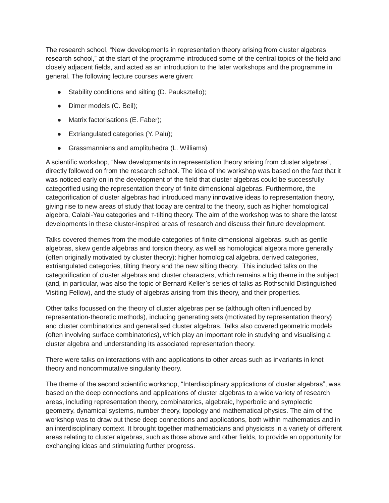The research school, "New developments in representation theory arising from cluster algebras research school," at the start of the programme introduced some of the central topics of the field and closely adjacent fields, and acted as an introduction to the later workshops and the programme in general. The following lecture courses were given:

- Stability conditions and silting (D. Pauksztello);
- Dimer models (C. Beil);
- Matrix factorisations (E. Faber);
- Extriangulated categories (Y. Palu);
- Grassmannians and amplituhedra (L. Williams)

A scientific workshop, "New developments in representation theory arising from cluster algebras", directly followed on from the research school. The idea of the workshop was based on the fact that it was noticed early on in the development of the field that cluster algebras could be successfully categorified using the representation theory of finite dimensional algebras. Furthermore, the categorification of cluster algebras had introduced many innovative ideas to representation theory, giving rise to new areas of study that today are central to the theory, such as higher homological algebra, Calabi-Yau categories and τ-tilting theory. The aim of the workshop was to share the latest developments in these cluster-inspired areas of research and discuss their future development.

Talks covered themes from the module categories of finite dimensional algebras, such as gentle algebras, skew gentle algebras and torsion theory, as well as homological algebra more generally (often originally motivated by cluster theory): higher homological algebra, derived categories, extriangulated categories, tilting theory and the new silting theory. This included talks on the categorification of cluster algebras and cluster characters, which remains a big theme in the subject (and, in particular, was also the topic of Bernard Keller's series of talks as Rothschild Distinguished Visiting Fellow), and the study of algebras arising from this theory, and their properties.

Other talks focussed on the theory of cluster algebras per se (although often influenced by representation-theoretic methods), including generating sets (motivated by representation theory) and cluster combinatorics and generalised cluster algebras. Talks also covered geometric models (often involving surface combinatorics), which play an important role in studying and visualising a cluster algebra and understanding its associated representation theory.

There were talks on interactions with and applications to other areas such as invariants in knot theory and noncommutative singularity theory.

The theme of the second scientific workshop, "Interdisciplinary applications of cluster algebras", was based on the deep connections and applications of cluster algebras to a wide variety of research areas, including representation theory, combinatorics, algebraic, hyperbolic and symplectic geometry, dynamical systems, number theory, topology and mathematical physics. The aim of the workshop was to draw out these deep connections and applications, both within mathematics and in an interdisciplinary context. It brought together mathematicians and physicists in a variety of different areas relating to cluster algebras, such as those above and other fields, to provide an opportunity for exchanging ideas and stimulating further progress.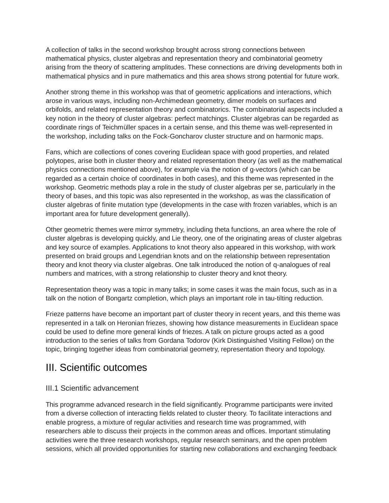A collection of talks in the second workshop brought across strong connections between mathematical physics, cluster algebras and representation theory and combinatorial geometry arising from the theory of scattering amplitudes. These connections are driving developments both in mathematical physics and in pure mathematics and this area shows strong potential for future work.

Another strong theme in this workshop was that of geometric applications and interactions, which arose in various ways, including non-Archimedean geometry, dimer models on surfaces and orbifolds, and related representation theory and combinatorics. The combinatorial aspects included a key notion in the theory of cluster algebras: perfect matchings. Cluster algebras can be regarded as coordinate rings of Teichmüller spaces in a certain sense, and this theme was well-represented in the workshop, including talks on the Fock-Goncharov cluster structure and on harmonic maps.

Fans, which are collections of cones covering Euclidean space with good properties, and related polytopes, arise both in cluster theory and related representation theory (as well as the mathematical physics connections mentioned above), for example via the notion of g-vectors (which can be regarded as a certain choice of coordinates in both cases), and this theme was represented in the workshop. Geometric methods play a role in the study of cluster algebras per se, particularly in the theory of bases, and this topic was also represented in the workshop, as was the classification of cluster algebras of finite mutation type (developments in the case with frozen variables, which is an important area for future development generally).

Other geometric themes were mirror symmetry, including theta functions, an area where the role of cluster algebras is developing quickly, and Lie theory, one of the originating areas of cluster algebras and key source of examples. Applications to knot theory also appeared in this workshop, with work presented on braid groups and Legendrian knots and on the relationship between representation theory and knot theory via cluster algebras. One talk introduced the notion of q-analogues of real numbers and matrices, with a strong relationship to cluster theory and knot theory.

Representation theory was a topic in many talks; in some cases it was the main focus, such as in a talk on the notion of Bongartz completion, which plays an important role in tau-tilting reduction.

Frieze patterns have become an important part of cluster theory in recent years, and this theme was represented in a talk on Heronian friezes, showing how distance measurements in Euclidean space could be used to define more general kinds of friezes. A talk on picture groups acted as a good introduction to the series of talks from Gordana Todorov (Kirk Distinguished Visiting Fellow) on the topic, bringing together ideas from combinatorial geometry, representation theory and topology.

## III. Scientific outcomes

#### III.1 Scientific advancement

This programme advanced research in the field significantly. Programme participants were invited from a diverse collection of interacting fields related to cluster theory. To facilitate interactions and enable progress, a mixture of regular activities and research time was programmed, with researchers able to discuss their projects in the common areas and offices. Important stimulating activities were the three research workshops, regular research seminars, and the open problem sessions, which all provided opportunities for starting new collaborations and exchanging feedback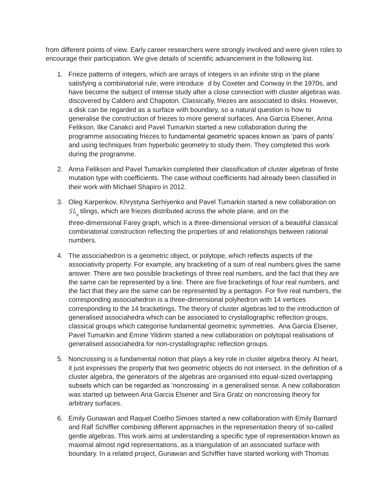from different points of view. Early career researchers were strongly involved and were given roles to encourage their participation. We give details of scientific advancement in the following list.

- 1. Frieze patterns of integers, which are arrays of integers in an infinite strip in the plane satisfying a combinatorial rule, were introduce d by Coxeter and Conway in the 1970s, and have become the subject of intense study after a close connection with cluster algebras was discovered by Caldero and Chapoton. Classically, friezes are associated to disks. However, a disk can be regarded as a surface with boundary, so a natural question is how to generalise the construction of friezes to more general surfaces. Ana Garcia Elsener, Anna Felikson, Ilke Canakci and Pavel Tumarkin started a new collaboration during the programme associating friezes to fundamental geometric spaces known as 'pairs of pants' and using techniques from hyperbolic geometry to study them. They completed this work during the programme.
- 2. Anna Felikson and Pavel Tumarkin completed their classification of cluster algebras of finite mutation type with coefficients. The case without coefficients had already been classified in their work with Michael Shapiro in 2012.
- 3. Oleg Karpenkov, Khrystyna Serhiyenko and Pavel Tumarkin started a new collaboration on  $\mathit{SL}_n$  tilings, which are friezes distributed across the whole plane, and on the three-dimensional Farey graph, which is a three-dimensional version of a beautiful classical
	- combinatorial construction reflecting the properties of and relationships between rational numbers.
- 4. The associahedron is a geometric object, or polytope, which reflects aspects of the associativity property. For example, any bracketing of a sum of real numbers gives the same answer. There are two possible bracketings of three real numbers, and the fact that they are the same can be represented by a line. There are five bracketings of four real numbers, and the fact that they are the same can be represented by a pentagon. For five real numbers, the corresponding associahedron is a three-dimensional polyhedron with 14 vertices corresponding to the 14 bracketings. The theory of cluster algebras led to the introduction of generalised associahedra which can be associated to crystallographic reflection groups, classical groups which categorise fundamental geometric symmetries. Ana Garcia Elsener, Pavel Tumarkin and Emine Yildirim started a new collaboration on polytopal realisations of generalised associahedra for non-crystallographic reflection groups.
- 5. Noncrossing is a fundamental notion that plays a key role in cluster algebra theory. At heart, it just expresses the property that two geometric objects do not intersect. In the definition of a cluster algebra, the generators of the algebras are organised into equal-sized overlapping subsets which can be regarded as 'noncrossing' in a generalised sense. A new collaboration was started up between Ana Garcia Elsener and Sira Gratz on noncrossing theory for arbitrary surfaces.
- 6. Emily Gunawan and Raquel Coelho Simoes started a new collaboration with Emily Barnard and Ralf Schiffler combining different approaches in the representation theory of so-called gentle algebras. This work aims at understanding a specific type of representation known as maximal almost rigid representations, as a triangulation of an associated surface with boundary. In a related project, Gunawan and Schiffler have started working with Thomas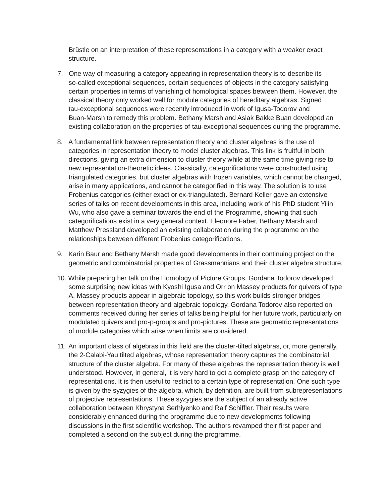Brüstle on an interpretation of these representations in a category with a weaker exact structure.

- 7. One way of measuring a category appearing in representation theory is to describe its so-called exceptional sequences, certain sequences of objects in the category satisfying certain properties in terms of vanishing of homological spaces between them. However, the classical theory only worked well for module categories of hereditary algebras. Signed tau-exceptional sequences were recently introduced in work of Igusa-Todorov and Buan-Marsh to remedy this problem. Bethany Marsh and Aslak Bakke Buan developed an existing collaboration on the properties of tau-exceptional sequences during the programme.
- 8. A fundamental link between representation theory and cluster algebras is the use of categories in representation theory to model cluster algebras. This link is fruitful in both directions, giving an extra dimension to cluster theory while at the same time giving rise to new representation-theoretic ideas. Classically, categorifications were constructed using triangulated categories, but cluster algebras with frozen variables, which cannot be changed, arise in many applications, and cannot be categorified in this way. The solution is to use Frobenius categories (either exact or ex-triangulated). Bernard Keller gave an extensive series of talks on recent developments in this area, including work of his PhD student Yilin Wu, who also gave a seminar towards the end of the Programme, showing that such categorifications exist in a very general context. Eleonore Faber, Bethany Marsh and Matthew Pressland developed an existing collaboration during the programme on the relationships between different Frobenius categorifications.
- 9. Karin Baur and Bethany Marsh made good developments in their continuing project on the geometric and combinatorial properties of Grassmannians and their cluster algebra structure.
- 10. While preparing her talk on the Homology of Picture Groups, Gordana Todorov developed some surprising new ideas with Kyoshi Igusa and Orr on Massey products for quivers of type A. Massey products appear in algebraic topology, so this work builds stronger bridges between representation theory and algebraic topology. Gordana Todorov also reported on comments received during her series of talks being helpful for her future work, particularly on modulated quivers and pro-p-groups and pro-pictures. These are geometric representations of module categories which arise when limits are considered.
- 11. An important class of algebras in this field are the cluster-tilted algebras, or, more generally, the 2-Calabi-Yau tilted algebras, whose representation theory captures the combinatorial structure of the cluster algebra. For many of these algebras the representation theory is well understood. However, in general, it is very hard to get a complete grasp on the category of representations. It is then useful to restrict to a certain type of representation. One such type is given by the syzygies of the algebra, which, by definition, are built from subrepresentations of projective representations. These syzygies are the subject of an already active collaboration between Khrystyna Serhiyenko and Ralf Schiffler. Their results were considerably enhanced during the programme due to new developments following discussions in the first scientific workshop. The authors revamped their first paper and completed a second on the subject during the programme.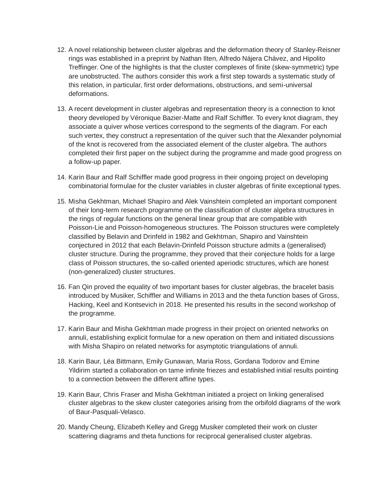- 12. A novel relationship between cluster algebras and the deformation theory of Stanley-Reisner rings was established in a preprint by Nathan Ilten, Alfredo Nájera Chávez, and Hipolito Treffinger. One of the highlights is that the cluster complexes of finite (skew-symmetric) type are unobstructed. The authors consider this work a first step towards a systematic study of this relation, in particular, first order deformations, obstructions, and semi-universal deformations.
- 13. A recent development in cluster algebras and representation theory is a connection to knot theory developed by Véronique Bazier-Matte and Ralf Schiffler. To every knot diagram, they associate a quiver whose vertices correspond to the segments of the diagram. For each such vertex, they construct a representation of the quiver such that the Alexander polynomial of the knot is recovered from the associated element of the cluster algebra. The authors completed their first paper on the subject during the programme and made good progress on a follow-up paper.
- 14. Karin Baur and Ralf Schiffler made good progress in their ongoing project on developing combinatorial formulae for the cluster variables in cluster algebras of finite exceptional types.
- 15. Misha Gekhtman, Michael Shapiro and Alek Vainshtein completed an important component of their long-term research programme on the classification of cluster algebra structures in the rings of regular functions on the general linear group that are compatible with Poisson-Lie and Poisson-homogeneous structures. The Poisson structures were completely classified by Belavin and Drinfeld in 1982 and Gekhtman, Shapiro and Vainshtein conjectured in 2012 that each Belavin-Drinfeld Poisson structure admits a (generalised) cluster structure. During the programme, they proved that their conjecture holds for a large class of Poisson structures, the so-called oriented aperiodic structures, which are honest (non-generalized) cluster structures.
- 16. Fan Qin proved the equality of two important bases for cluster algebras, the bracelet basis introduced by Musiker, Schiffler and Williams in 2013 and the theta function bases of Gross, Hacking, Keel and Kontsevich in 2018. He presented his results in the second workshop of the programme.
- 17. Karin Baur and Misha Gekhtman made progress in their project on oriented networks on annuli, establishing explicit formulae for a new operation on them and initiated discussions with Misha Shapiro on related networks for asymptotic triangulations of annuli.
- 18. Karin Baur, Léa Bittmann, Emily Gunawan, Maria Ross, Gordana Todorov and Emine Yildirim started a collaboration on tame infinite friezes and established initial results pointing to a connection between the different affine types.
- 19. Karin Baur, Chris Fraser and Misha Gekhtman initiated a project on linking generalised cluster algebras to the skew cluster categories arising from the orbifold diagrams of the work of Baur-Pasquali-Velasco.
- 20. Mandy Cheung, Elizabeth Kelley and Gregg Musiker completed their work on cluster scattering diagrams and theta functions for reciprocal generalised cluster algebras.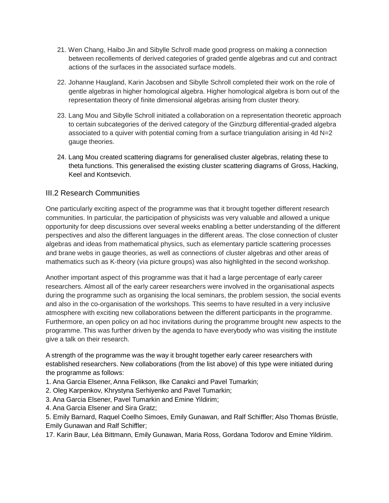- 21. Wen Chang, Haibo Jin and Sibylle Schroll made good progress on making a connection between recollements of derived categories of graded gentle algebras and cut and contract actions of the surfaces in the associated surface models.
- 22. Johanne Haugland, Karin Jacobsen and Sibylle Schroll completed their work on the role of gentle algebras in higher homological algebra. Higher homological algebra is born out of the representation theory of finite dimensional algebras arising from cluster theory.
- 23. Lang Mou and Sibylle Schroll initiated a collaboration on a representation theoretic approach to certain subcategories of the derived category of the Ginzburg differential-graded algebra associated to a quiver with potential coming from a surface triangulation arising in 4d N=2 gauge theories.
- 24. Lang Mou created scattering diagrams for generalised cluster algebras, relating these to theta functions. This generalised the existing cluster scattering diagrams of Gross, Hacking, Keel and Kontsevich.

### III.2 Research Communities

One particularly exciting aspect of the programme was that it brought together different research communities. In particular, the participation of physicists was very valuable and allowed a unique opportunity for deep discussions over several weeks enabling a better understanding of the different perspectives and also the different languages in the different areas. The close connection of cluster algebras and ideas from mathematical physics, such as elementary particle scattering processes and brane webs in gauge theories, as well as connections of cluster algebras and other areas of mathematics such as K-theory (via picture groups) was also highlighted in the second workshop.

Another important aspect of this programme was that it had a large percentage of early career researchers. Almost all of the early career researchers were involved in the organisational aspects during the programme such as organising the local seminars, the problem session, the social events and also in the co-organisation of the workshops. This seems to have resulted in a very inclusive atmosphere with exciting new collaborations between the different participants in the programme. Furthermore, an open policy on ad hoc invitations during the programme brought new aspects to the programme. This was further driven by the agenda to have everybody who was visiting the institute give a talk on their research.

A strength of the programme was the way it brought together early career researchers with established researchers. New collaborations (from the list above) of this type were initiated during the programme as follows:

- 1. Ana Garcia Elsener, Anna Felikson, Ilke Canakci and Pavel Tumarkin;
- 2. Oleg Karpenkov, Khrystyna Serhiyenko and Pavel Tumarkin;
- 3. Ana Garcia Elsener, Pavel Tumarkin and Emine Yildirim;
- 4. Ana Garcia Elsener and Sira Gratz;
- 5. Emily Barnard, Raquel Coelho Simoes, Emily Gunawan, and Ralf Schiffler; Also Thomas Brüstle, Emily Gunawan and Ralf Schiffler;

17. Karin Baur, Léa Bittmann, Emily Gunawan, Maria Ross, Gordana Todorov and Emine Yildirim.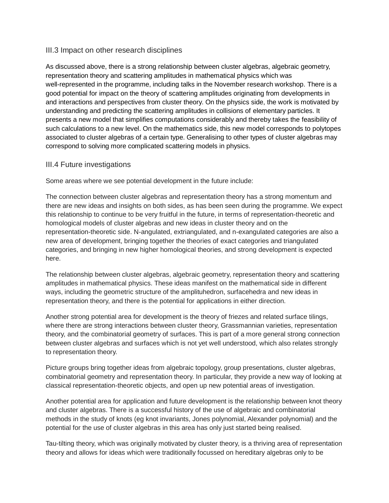#### III.3 Impact on other research disciplines

As discussed above, there is a strong relationship between cluster algebras, algebraic geometry, representation theory and scattering amplitudes in mathematical physics which was well-represented in the programme, including talks in the November research workshop. There is a good potential for impact on the theory of scattering amplitudes originating from developments in and interactions and perspectives from cluster theory. On the physics side, the work is motivated by understanding and predicting the scattering amplitudes in collisions of elementary particles. It presents a new model that simplifies computations considerably and thereby takes the feasibility of such calculations to a new level. On the mathematics side, this new model corresponds to polytopes associated to cluster algebras of a certain type. Generalising to other types of cluster algebras may correspond to solving more complicated scattering models in physics.

#### III.4 Future investigations

Some areas where we see potential development in the future include:

The connection between cluster algebras and representation theory has a strong momentum and there are new ideas and insights on both sides, as has been seen during the programme. We expect this relationship to continue to be very fruitful in the future, in terms of representation-theoretic and homological models of cluster algebras and new ideas in cluster theory and on the representation-theoretic side. N-angulated, extriangulated, and n-exangulated categories are also a new area of development, bringing together the theories of exact categories and triangulated categories, and bringing in new higher homological theories, and strong development is expected here.

The relationship between cluster algebras, algebraic geometry, representation theory and scattering amplitudes in mathematical physics. These ideas manifest on the mathematical side in different ways, including the geometric structure of the amplituhedron, surfacehedra and new ideas in representation theory, and there is the potential for applications in either direction.

Another strong potential area for development is the theory of friezes and related surface tilings, where there are strong interactions between cluster theory, Grassmannian varieties, representation theory, and the combinatorial geometry of surfaces. This is part of a more general strong connection between cluster algebras and surfaces which is not yet well understood, which also relates strongly to representation theory.

Picture groups bring together ideas from algebraic topology, group presentations, cluster algebras, combinatorial geometry and representation theory. In particular, they provide a new way of looking at classical representation-theoretic objects, and open up new potential areas of investigation.

Another potential area for application and future development is the relationship between knot theory and cluster algebras. There is a successful history of the use of algebraic and combinatorial methods in the study of knots (eg knot invariants, Jones polynomial, Alexander polynomial) and the potential for the use of cluster algebras in this area has only just started being realised.

Tau-tilting theory, which was originally motivated by cluster theory, is a thriving area of representation theory and allows for ideas which were traditionally focussed on hereditary algebras only to be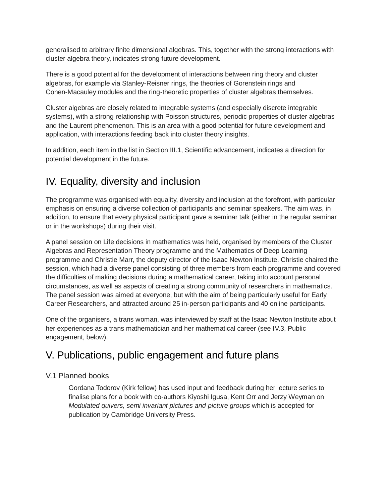generalised to arbitrary finite dimensional algebras. This, together with the strong interactions with cluster algebra theory, indicates strong future development.

There is a good potential for the development of interactions between ring theory and cluster algebras, for example via Stanley-Reisner rings, the theories of Gorenstein rings and Cohen-Macauley modules and the ring-theoretic properties of cluster algebras themselves.

Cluster algebras are closely related to integrable systems (and especially discrete integrable systems), with a strong relationship with Poisson structures, periodic properties of cluster algebras and the Laurent phenomenon. This is an area with a good potential for future development and application, with interactions feeding back into cluster theory insights.

In addition, each item in the list in Section III.1, Scientific advancement, indicates a direction for potential development in the future.

# IV. Equality, diversity and inclusion

The programme was organised with equality, diversity and inclusion at the forefront, with particular emphasis on ensuring a diverse collection of participants and seminar speakers. The aim was, in addition, to ensure that every physical participant gave a seminar talk (either in the regular seminar or in the workshops) during their visit.

A panel session on Life decisions in mathematics was held, organised by members of the Cluster Algebras and Representation Theory programme and the Mathematics of Deep Learning programme and Christie Marr, the deputy director of the Isaac Newton Institute. Christie chaired the session, which had a diverse panel consisting of three members from each programme and covered the difficulties of making decisions during a mathematical career, taking into account personal circumstances, as well as aspects of creating a strong community of researchers in mathematics. The panel session was aimed at everyone, but with the aim of being particularly useful for Early Career Researchers, and attracted around 25 in-person participants and 40 online participants.

One of the organisers, a trans woman, was interviewed by staff at the Isaac Newton Institute about her experiences as a trans mathematician and her mathematical career (see IV.3, Public engagement, below).

# V. Publications, public engagement and future plans

### V.1 Planned books

Gordana Todorov (Kirk fellow) has used input and feedback during her lecture series to finalise plans for a book with co-authors Kiyoshi Igusa, Kent Orr and Jerzy Weyman on *Modulated quivers, semi invariant pictures and picture groups* which is accepted for publication by Cambridge University Press.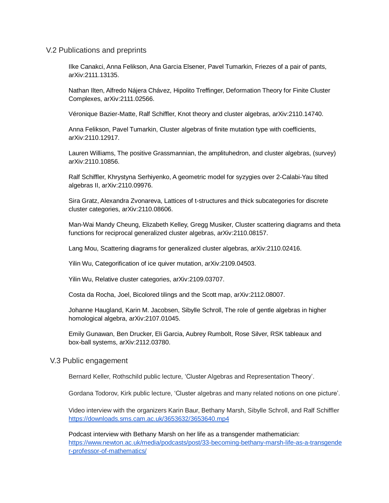#### V.2 Publications and preprints

Ilke Canakci, Anna Felikson, Ana Garcia Elsener, Pavel Tumarkin, Friezes of a pair of pants, arXiv:2111.13135.

Nathan Ilten, Alfredo Nájera Chávez, Hipolito Treffinger, Deformation Theory for Finite Cluster Complexes, arXiv:2111.02566.

Véronique Bazier-Matte, Ralf Schiffler, Knot theory and cluster algebras, arXiv:2110.14740.

Anna Felikson, Pavel Tumarkin, Cluster algebras of finite mutation type with coefficients, arXiv:2110.12917.

Lauren Williams, The positive Grassmannian, the amplituhedron, and cluster algebras, (survey) arXiv:2110.10856.

Ralf Schiffler, Khrystyna Serhiyenko, A geometric model for syzygies over 2-Calabi-Yau tilted algebras II, arXiv:2110.09976.

Sira Gratz, Alexandra Zvonareva, Lattices of t-structures and thick subcategories for discrete cluster categories, arXiv:2110.08606.

Man-Wai Mandy Cheung, Elizabeth Kelley, Gregg Musiker, Cluster scattering diagrams and theta functions for reciprocal generalized cluster algebras, arXiv:2110.08157.

Lang Mou, Scattering diagrams for generalized cluster algebras, arXiv:2110.02416.

Yilin Wu, Categorification of ice quiver mutation, arXiv:2109.04503.

Yilin Wu, Relative cluster categories, arXiv:2109.03707.

Costa da Rocha, Joel, Bicolored tilings and the Scott map, arXiv:2112.08007.

Johanne Haugland, Karin M. Jacobsen, Sibylle Schroll, The role of gentle algebras in higher homological algebra, arXiv:2107.01045.

Emily Gunawan, Ben Drucker, Eli Garcia, Aubrey Rumbolt, Rose Silver, RSK tableaux and box-ball systems, arXiv:2112.03780.

#### V.3 Public engagement

Bernard Keller, Rothschild public lecture, 'Cluster Algebras and Representation Theory'.

Gordana Todorov, Kirk public lecture, 'Cluster algebras and many related notions on one picture'.

Video interview with the organizers Karin Baur, Bethany Marsh, Sibylle Schroll, and Ralf Schiffler <https://downloads.sms.cam.ac.uk/3653632/3653640.mp4>

Podcast interview with Bethany Marsh on her life as a transgender mathematician: [https://www.newton.ac.uk/media/podcasts/post/33-becoming-bethany-marsh-life-as-a-transgende](https://www.newton.ac.uk/media/podcasts/post/33-becoming-bethany-marsh-life-as-a-transgender-professor-of-mathematics/) [r-professor-of-mathematics/](https://www.newton.ac.uk/media/podcasts/post/33-becoming-bethany-marsh-life-as-a-transgender-professor-of-mathematics/)